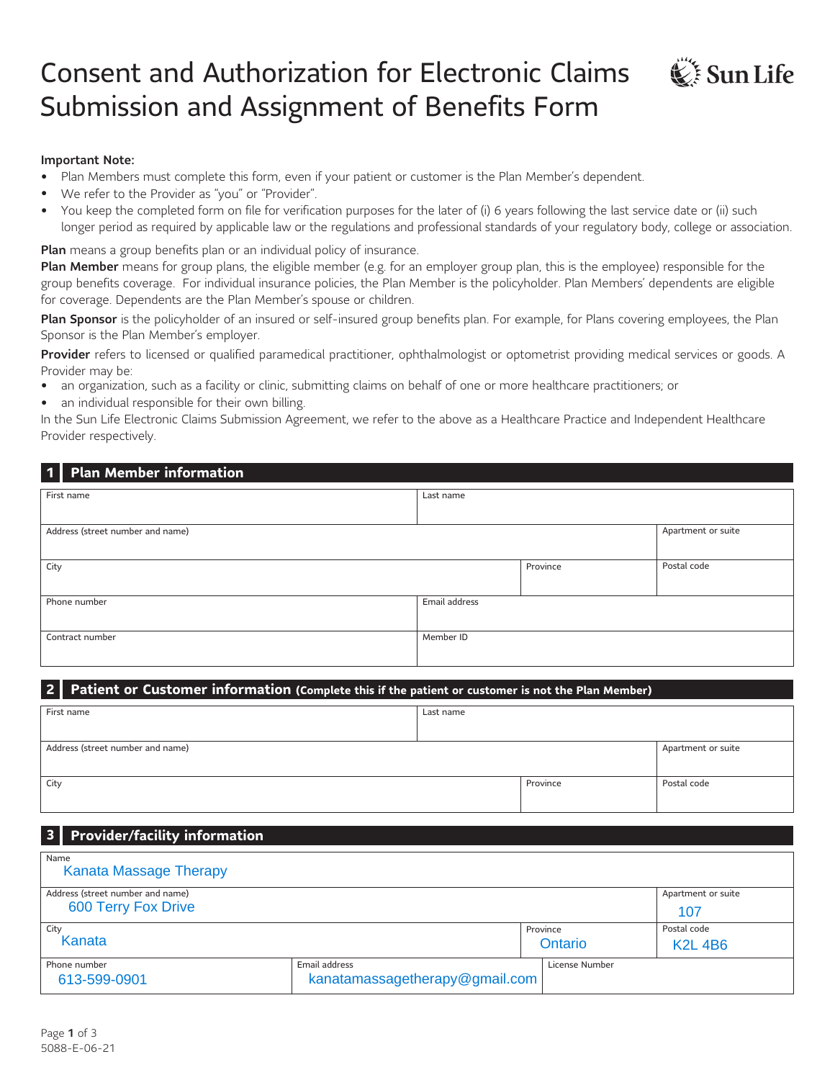# Consent and Authorization for Electronic Claims Submission and Assignment of Benefits Form



- Plan Members must complete this form, even if your patient or customer is the Plan Member's dependent.
- We refer to the Provider as "you" or "Provider".
- You keep the completed form on file for verification purposes for the later of (i) 6 years following the last service date or (ii) such longer period as required by applicable law or the regulations and professional standards of your regulatory body, college or association.

 $\mathbb{C}$  Sun Life

Plan means a group benefits plan or an individual policy of insurance.

Plan Member means for group plans, the eligible member (e.g. for an employer group plan, this is the employee) responsible for the group benefits coverage. For individual insurance policies, the Plan Member is the policyholder. Plan Members' dependents are eligible for coverage. Dependents are the Plan Member's spouse or children.

Plan Sponsor is the policyholder of an insured or self-insured group benefits plan. For example, for Plans covering employees, the Plan Sponsor is the Plan Member's employer.

Provider refers to licensed or qualified paramedical practitioner, ophthalmologist or optometrist providing medical services or goods. A Provider may be:

- an organization, such as a facility or clinic, submitting claims on behalf of one or more healthcare practitioners; or
- an individual responsible for their own billing.

In the Sun Life Electronic Claims Submission Agreement, we refer to the above as a Healthcare Practice and Independent Healthcare Provider respectively.

#### **1 Plan Member information**

| First name                       | Last name     |          |                    |
|----------------------------------|---------------|----------|--------------------|
|                                  |               |          |                    |
|                                  |               |          |                    |
| Address (street number and name) |               |          | Apartment or suite |
|                                  |               |          |                    |
|                                  |               |          |                    |
| City                             |               | Province | Postal code        |
|                                  |               |          |                    |
|                                  |               |          |                    |
| Phone number                     | Email address |          |                    |
|                                  |               |          |                    |
|                                  |               |          |                    |
| Contract number                  | Member ID     |          |                    |
|                                  |               |          |                    |
|                                  |               |          |                    |
|                                  |               |          |                    |

### **2 Patient or Customer information (Complete this if the patient or customer is not the Plan Member)**

| First name                       | Last name |          |                    |
|----------------------------------|-----------|----------|--------------------|
|                                  |           |          |                    |
| Address (street number and name) |           |          | Apartment or suite |
|                                  |           |          |                    |
| City                             |           | Province | Postal code        |
|                                  |           |          |                    |

#### **3 Provider/facility information**

| Name<br><b>Kanata Massage Therapy</b> |                                |                |                    |
|---------------------------------------|--------------------------------|----------------|--------------------|
| Address (street number and name)      |                                |                | Apartment or suite |
| <b>600 Terry Fox Drive</b>            |                                |                | 107                |
| City                                  |                                | Province       | Postal code        |
| Kanata                                |                                | Ontario        | <b>K2L4B6</b>      |
| Phone number                          | Email address                  | License Number |                    |
| 613-599-0901                          | kanatamassagetherapy@gmail.com |                |                    |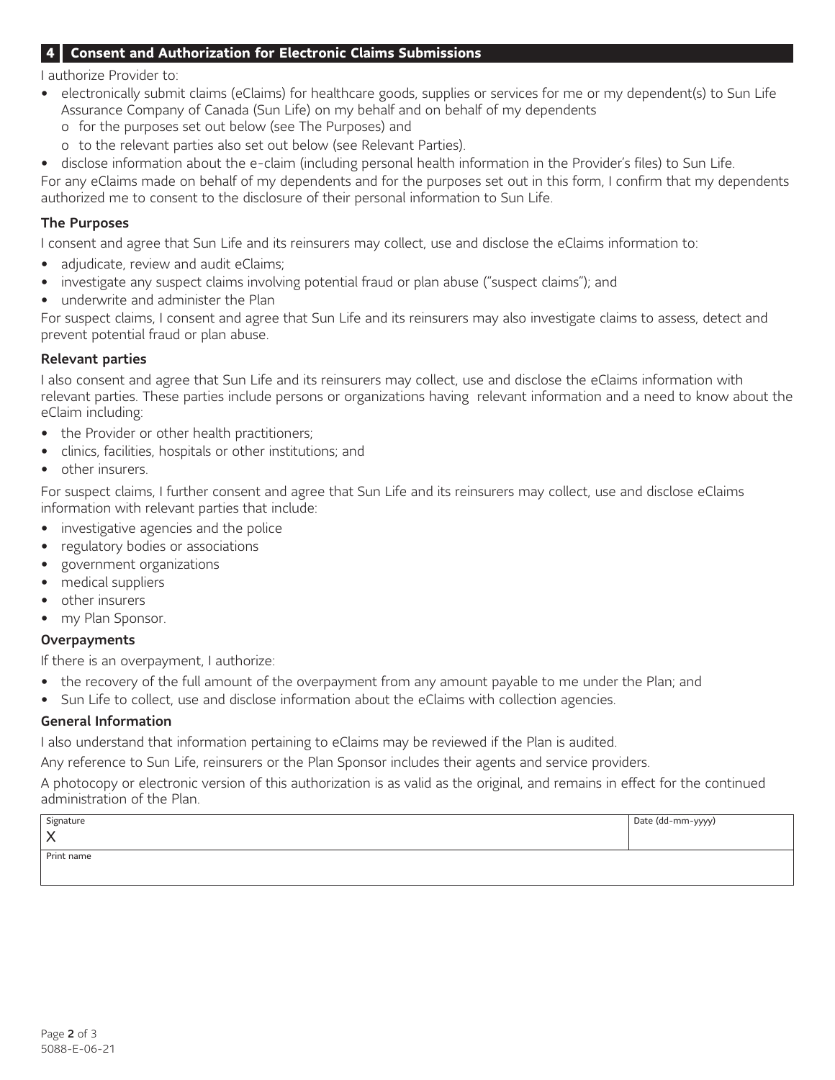### **4 Consent and Authorization for Electronic Claims Submissions**

I authorize Provider to:

- electronically submit claims (eClaims) for healthcare goods, supplies or services for me or my dependent(s) to Sun Life Assurance Company of Canada (Sun Life) on my behalf and on behalf of my dependents
	- o for the purposes set out below (see The Purposes) and
	- o to the relevant parties also set out below (see Relevant Parties).
- disclose information about the e-claim (including personal health information in the Provider's files) to Sun Life.

For any eClaims made on behalf of my dependents and for the purposes set out in this form, I confirm that my dependents authorized me to consent to the disclosure of their personal information to Sun Life.

#### The Purposes

I consent and agree that Sun Life and its reinsurers may collect, use and disclose the eClaims information to:

- adjudicate, review and audit eClaims;
- investigate any suspect claims involving potential fraud or plan abuse ("suspect claims"); and
- underwrite and administer the Plan

For suspect claims, I consent and agree that Sun Life and its reinsurers may also investigate claims to assess, detect and prevent potential fraud or plan abuse.

#### Relevant parties

I also consent and agree that Sun Life and its reinsurers may collect, use and disclose the eClaims information with relevant parties. These parties include persons or organizations having relevant information and a need to know about the eClaim including:

- the Provider or other health practitioners;
- clinics, facilities, hospitals or other institutions; and
- other insurers.

For suspect claims, I further consent and agree that Sun Life and its reinsurers may collect, use and disclose eClaims information with relevant parties that include:

- investigative agencies and the police
- regulatory bodies or associations
- government organizations
- medical suppliers
- other insurers
- my Plan Sponsor.

## **Overpayments**

If there is an overpayment, I authorize:

- the recovery of the full amount of the overpayment from any amount payable to me under the Plan; and
- Sun Life to collect, use and disclose information about the eClaims with collection agencies.

### General Information

I also understand that information pertaining to eClaims may be reviewed if the Plan is audited.

Any reference to Sun Life, reinsurers or the Plan Sponsor includes their agents and service providers.

A photocopy or electronic version of this authorization is as valid as the original, and remains in effect for the continued administration of the Plan.

| Signature          | Date (dd-mm-yyyy) |
|--------------------|-------------------|
| $\curvearrowright$ |                   |
| Print name         |                   |
|                    |                   |